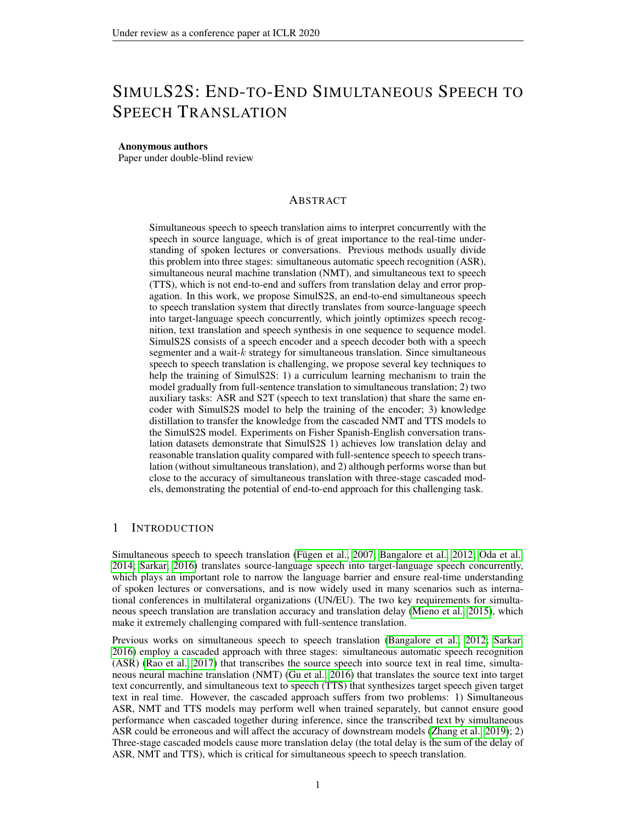# SIMULS2S: END-TO-END SIMULTANEOUS SPEECH TO SPEECH TRANSLATION

#### Anonymous authors

Paper under double-blind review

# ABSTRACT

Simultaneous speech to speech translation aims to interpret concurrently with the speech in source language, which is of great importance to the real-time understanding of spoken lectures or conversations. Previous methods usually divide this problem into three stages: simultaneous automatic speech recognition (ASR), simultaneous neural machine translation (NMT), and simultaneous text to speech (TTS), which is not end-to-end and suffers from translation delay and error propagation. In this work, we propose SimulS2S, an end-to-end simultaneous speech to speech translation system that directly translates from source-language speech into target-language speech concurrently, which jointly optimizes speech recognition, text translation and speech synthesis in one sequence to sequence model. SimulS2S consists of a speech encoder and a speech decoder both with a speech segmenter and a wait- $k$  strategy for simultaneous translation. Since simultaneous speech to speech translation is challenging, we propose several key techniques to help the training of SimulS2S: 1) a curriculum learning mechanism to train the model gradually from full-sentence translation to simultaneous translation; 2) two auxiliary tasks: ASR and S2T (speech to text translation) that share the same encoder with SimulS2S model to help the training of the encoder; 3) knowledge distillation to transfer the knowledge from the cascaded NMT and TTS models to the SimulS2S model. Experiments on Fisher Spanish-English conversation translation datasets demonstrate that SimulS2S 1) achieves low translation delay and reasonable translation quality compared with full-sentence speech to speech translation (without simultaneous translation), and 2) although performs worse than but close to the accuracy of simultaneous translation with three-stage cascaded models, demonstrating the potential of end-to-end approach for this challenging task.

# 1 INTRODUCTION

Simultaneous speech to speech translation (Fügen et al., 2007; [Bangalore et al., 2012;](#page-8-1) [Oda et al.,](#page-9-0) [2014;](#page-9-0) [Sarkar, 2016\)](#page-9-1) translates source-language speech into target-language speech concurrently, which plays an important role to narrow the language barrier and ensure real-time understanding of spoken lectures or conversations, and is now widely used in many scenarios such as international conferences in multilateral organizations (UN/EU). The two key requirements for simultaneous speech translation are translation accuracy and translation delay [\(Mieno et al., 2015\)](#page-9-2), which make it extremely challenging compared with full-sentence translation.

Previous works on simultaneous speech to speech translation [\(Bangalore et al., 2012;](#page-8-1) [Sarkar,](#page-9-1) [2016\)](#page-9-1) employ a cascaded approach with three stages: simultaneous automatic speech recognition (ASR) [\(Rao et al., 2017\)](#page-9-3) that transcribes the source speech into source text in real time, simultaneous neural machine translation (NMT) [\(Gu et al., 2016\)](#page-8-2) that translates the source text into target text concurrently, and simultaneous text to speech (TTS) that synthesizes target speech given target text in real time. However, the cascaded approach suffers from two problems: 1) Simultaneous ASR, NMT and TTS models may perform well when trained separately, but cannot ensure good performance when cascaded together during inference, since the transcribed text by simultaneous ASR could be erroneous and will affect the accuracy of downstream models [\(Zhang et al., 2019\)](#page-10-0); 2) Three-stage cascaded models cause more translation delay (the total delay is the sum of the delay of ASR, NMT and TTS), which is critical for simultaneous speech to speech translation.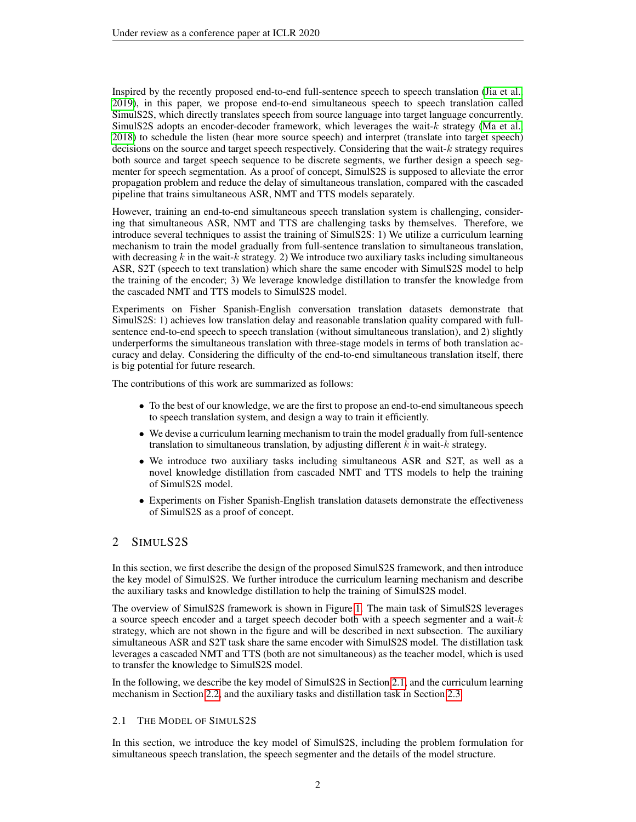Inspired by the recently proposed end-to-end full-sentence speech to speech translation [\(Jia et al.,](#page-8-3) [2019\)](#page-8-3), in this paper, we propose end-to-end simultaneous speech to speech translation called SimulS2S, which directly translates speech from source language into target language concurrently. SimulS2S adopts an encoder-decoder framework, which leverages the wait-k strategy [\(Ma et al.,](#page-9-4) [2018\)](#page-9-4) to schedule the listen (hear more source speech) and interpret (translate into target speech) decisions on the source and target speech respectively. Considering that the wait-k strategy requires both source and target speech sequence to be discrete segments, we further design a speech segmenter for speech segmentation. As a proof of concept, SimulS2S is supposed to alleviate the error propagation problem and reduce the delay of simultaneous translation, compared with the cascaded pipeline that trains simultaneous ASR, NMT and TTS models separately.

However, training an end-to-end simultaneous speech translation system is challenging, considering that simultaneous ASR, NMT and TTS are challenging tasks by themselves. Therefore, we introduce several techniques to assist the training of SimulS2S: 1) We utilize a curriculum learning mechanism to train the model gradually from full-sentence translation to simultaneous translation, with decreasing  $k$  in the wait- $k$  strategy. 2) We introduce two auxiliary tasks including simultaneous ASR, S2T (speech to text translation) which share the same encoder with SimulS2S model to help the training of the encoder; 3) We leverage knowledge distillation to transfer the knowledge from the cascaded NMT and TTS models to SimulS2S model.

Experiments on Fisher Spanish-English conversation translation datasets demonstrate that SimulS2S: 1) achieves low translation delay and reasonable translation quality compared with fullsentence end-to-end speech to speech translation (without simultaneous translation), and 2) slightly underperforms the simultaneous translation with three-stage models in terms of both translation accuracy and delay. Considering the difficulty of the end-to-end simultaneous translation itself, there is big potential for future research.

The contributions of this work are summarized as follows:

- To the best of our knowledge, we are the first to propose an end-to-end simultaneous speech to speech translation system, and design a way to train it efficiently.
- We devise a curriculum learning mechanism to train the model gradually from full-sentence translation to simultaneous translation, by adjusting different  $k$  in wait- $k$  strategy.
- We introduce two auxiliary tasks including simultaneous ASR and S2T, as well as a novel knowledge distillation from cascaded NMT and TTS models to help the training of SimulS2S model.
- Experiments on Fisher Spanish-English translation datasets demonstrate the effectiveness of SimulS2S as a proof of concept.

# 2 SIMULS2S

In this section, we first describe the design of the proposed SimulS2S framework, and then introduce the key model of SimulS2S. We further introduce the curriculum learning mechanism and describe the auxiliary tasks and knowledge distillation to help the training of SimulS2S model.

The overview of SimulS2S framework is shown in Figure [1.](#page-2-0) The main task of SimulS2S leverages a source speech encoder and a target speech decoder both with a speech segmenter and a wait- $k$ strategy, which are not shown in the figure and will be described in next subsection. The auxiliary simultaneous ASR and S2T task share the same encoder with SimulS2S model. The distillation task leverages a cascaded NMT and TTS (both are not simultaneous) as the teacher model, which is used to transfer the knowledge to SimulS2S model.

In the following, we describe the key model of SimulS2S in Section [2.1,](#page-1-0) and the curriculum learning mechanism in Section [2.2,](#page-3-0) and the auxiliary tasks and distillation task in Section [2.3.](#page-3-1)

#### <span id="page-1-0"></span>2.1 THE MODEL OF SIMULS2S

In this section, we introduce the key model of SimulS2S, including the problem formulation for simultaneous speech translation, the speech segmenter and the details of the model structure.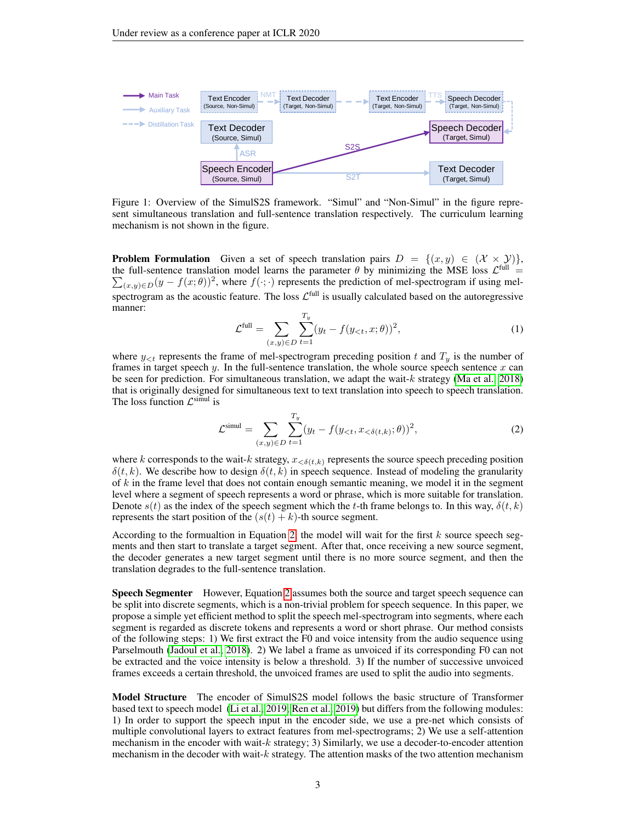<span id="page-2-0"></span>

Figure 1: Overview of the SimulS2S framework. "Simul" and "Non-Simul" in the figure represent simultaneous translation and full-sentence translation respectively. The curriculum learning mechanism is not shown in the figure.

**Problem Formulation** Given a set of speech translation pairs  $D = \{(x, y) \in (\mathcal{X} \times \mathcal{Y})\}$ , the full-sentence translation model learns the parameter  $\theta$  by minimizing the MSE loss  $\mathcal{L}^{\text{full}}$  =  $\sum_{(x,y)\in D} (y - f(x;\theta))^2$ , where  $f(\cdot;\cdot)$  represents the prediction of mel-spectrogram if using melspectrogram as the acoustic feature. The loss  $\mathcal{L}^{\text{full}}$  is usually calculated based on the autoregressive manner:

$$
\mathcal{L}^{\text{full}} = \sum_{(x,y)\in D} \sum_{t=1}^{T_y} (y_t - f(y_{< t}, x; \theta))^2,
$$
\n(1)

where  $y_{\leq t}$  represents the frame of mel-spectrogram preceding position t and  $T_y$  is the number of frames in target speech  $y$ . In the full-sentence translation, the whole source speech sentence  $x$  can be seen for prediction. For simultaneous translation, we adapt the wait- $k$  strategy [\(Ma et al., 2018\)](#page-9-4) that is originally designed for simultaneous text to text translation into speech to speech translation. The loss function  $\mathcal{L}^{\text{simul}}$  is

<span id="page-2-1"></span>
$$
\mathcal{L}^{\text{simul}} = \sum_{(x,y)\in D} \sum_{t=1}^{T_y} (y_t - f(y_{< t}, x_{< \delta(t,k)}; \theta))^2,
$$
\n(2)

where k corresponds to the wait-k strategy,  $x_{< \delta(t,k)}$  represents the source speech preceding position  $\delta(t, k)$ . We describe how to design  $\delta(t, k)$  in speech sequence. Instead of modeling the granularity of  $k$  in the frame level that does not contain enough semantic meaning, we model it in the segment level where a segment of speech represents a word or phrase, which is more suitable for translation. Denote  $s(t)$  as the index of the speech segment which the t-th frame belongs to. In this way,  $\delta(t, k)$ represents the start position of the  $(s(t) + k)$ -th source segment.

According to the formualtion in Equation [2,](#page-2-1) the model will wait for the first  $k$  source speech segments and then start to translate a target segment. After that, once receiving a new source segment, the decoder generates a new target segment until there is no more source segment, and then the translation degrades to the full-sentence translation.

Speech Segmenter However, Equation [2](#page-2-1) assumes both the source and target speech sequence can be split into discrete segments, which is a non-trivial problem for speech sequence. In this paper, we propose a simple yet efficient method to split the speech mel-spectrogram into segments, where each segment is regarded as discrete tokens and represents a word or short phrase. Our method consists of the following steps: 1) We first extract the F0 and voice intensity from the audio sequence using Parselmouth [\(Jadoul et al., 2018\)](#page-8-4). 2) We label a frame as unvoiced if its corresponding F0 can not be extracted and the voice intensity is below a threshold. 3) If the number of successive unvoiced frames exceeds a certain threshold, the unvoiced frames are used to split the audio into segments.

Model Structure The encoder of SimulS2S model follows the basic structure of Transformer based text to speech model [\(Li et al., 2019;](#page-9-5) [Ren et al., 2019\)](#page-9-6) but differs from the following modules: 1) In order to support the speech input in the encoder side, we use a pre-net which consists of multiple convolutional layers to extract features from mel-spectrograms; 2) We use a self-attention mechanism in the encoder with wait- $k$  strategy; 3) Similarly, we use a decoder-to-encoder attention mechanism in the decoder with wait-k strategy. The attention masks of the two attention mechanism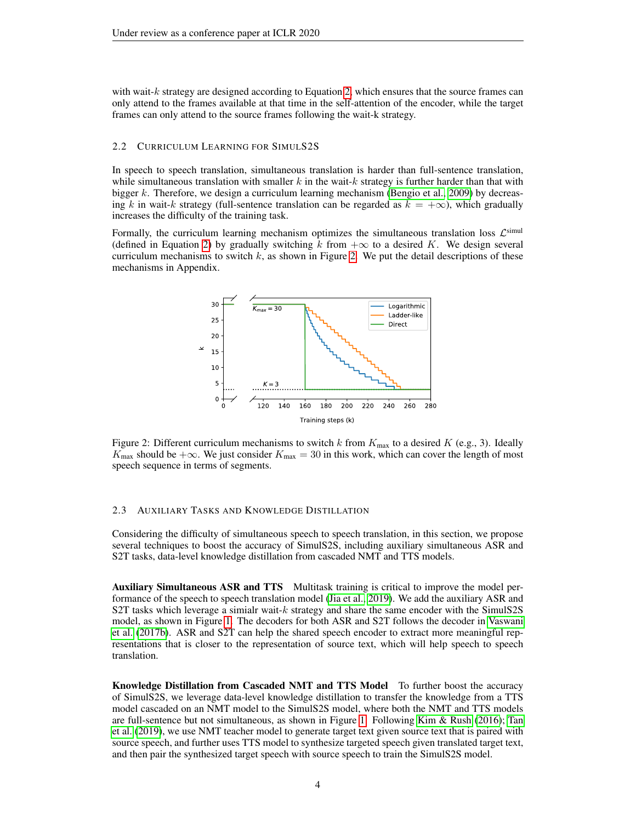with wait- $k$  strategy are designed according to Equation [2,](#page-2-1) which ensures that the source frames can only attend to the frames available at that time in the self-attention of the encoder, while the target frames can only attend to the source frames following the wait-k strategy.

#### <span id="page-3-0"></span>2.2 CURRICULUM LEARNING FOR SIMULS2S

In speech to speech translation, simultaneous translation is harder than full-sentence translation, while simultaneous translation with smaller  $k$  in the wait- $k$  strategy is further harder than that with bigger k. Therefore, we design a curriculum learning mechanism [\(Bengio et al., 2009\)](#page-8-5) by decreasing k in wait-k strategy (full-sentence translation can be regarded as  $k = +\infty$ ), which gradually increases the difficulty of the training task.

<span id="page-3-2"></span>Formally, the curriculum learning mechanism optimizes the simultaneous translation loss  $\mathcal{L}^{\text{simul}}$ (defined in Equation [2\)](#page-2-1) by gradually switching k from  $+\infty$  to a desired K. We design several curriculum mechanisms to switch  $k$ , as shown in Figure [2.](#page-3-2) We put the detail descriptions of these mechanisms in Appendix.



Figure 2: Different curriculum mechanisms to switch k from  $K_{\text{max}}$  to a desired K (e.g., 3). Ideally  $K_{\text{max}}$  should be + $\infty$ . We just consider  $K_{\text{max}} = 30$  in this work, which can cover the length of most speech sequence in terms of segments.

### <span id="page-3-1"></span>2.3 AUXILIARY TASKS AND KNOWLEDGE DISTILLATION

Considering the difficulty of simultaneous speech to speech translation, in this section, we propose several techniques to boost the accuracy of SimulS2S, including auxiliary simultaneous ASR and S2T tasks, data-level knowledge distillation from cascaded NMT and TTS models.

Auxiliary Simultaneous ASR and TTS Multitask training is critical to improve the model performance of the speech to speech translation model [\(Jia et al., 2019\)](#page-8-3). We add the auxiliary ASR and S2T tasks which leverage a simialr wait- $k$  strategy and share the same encoder with the SimulS2S model, as shown in Figure [1.](#page-2-0) The decoders for both ASR and S2T follows the decoder in [Vaswani](#page-10-1) [et al.](#page-10-1) [\(2017b\)](#page-10-1). ASR and S2T can help the shared speech encoder to extract more meaningful representations that is closer to the representation of source text, which will help speech to speech translation.

Knowledge Distillation from Cascaded NMT and TTS Model To further boost the accuracy of SimulS2S, we leverage data-level knowledge distillation to transfer the knowledge from a TTS model cascaded on an NMT model to the SimulS2S model, where both the NMT and TTS models are full-sentence but not simultaneous, as shown in Figure [1.](#page-2-0) Following [Kim & Rush](#page-8-6) [\(2016\)](#page-8-6); [Tan](#page-10-2) [et al.](#page-10-2) [\(2019\)](#page-10-2), we use NMT teacher model to generate target text given source text that is paired with source speech, and further uses TTS model to synthesize targeted speech given translated target text, and then pair the synthesized target speech with source speech to train the SimulS2S model.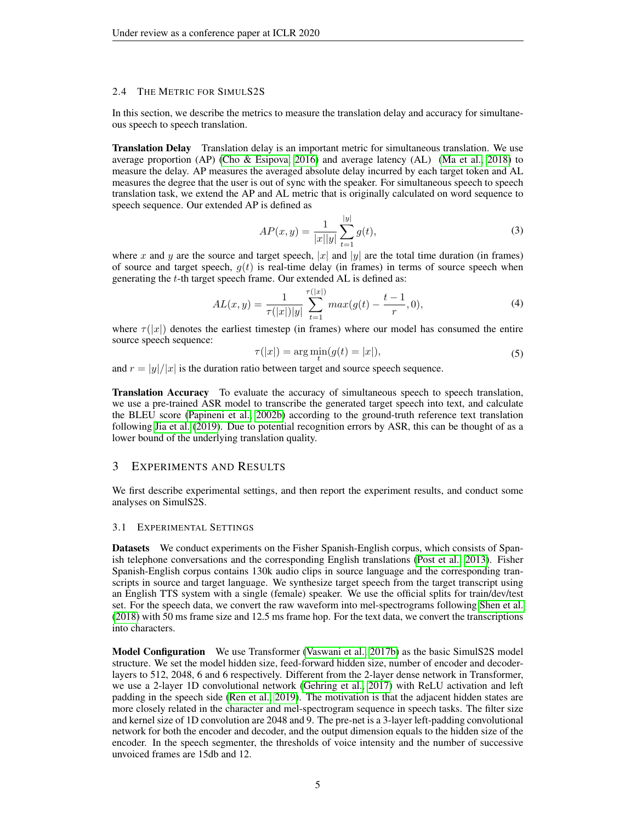### <span id="page-4-0"></span>2.4 THE METRIC FOR SIMULS2S

In this section, we describe the metrics to measure the translation delay and accuracy for simultaneous speech to speech translation.

Translation Delay Translation delay is an important metric for simultaneous translation. We use average proportion (AP) [\(Cho & Esipova, 2016\)](#page-8-7) and average latency (AL) [\(Ma et al., 2018\)](#page-9-4) to measure the delay. AP measures the averaged absolute delay incurred by each target token and AL measures the degree that the user is out of sync with the speaker. For simultaneous speech to speech translation task, we extend the AP and AL metric that is originally calculated on word sequence to speech sequence. Our extended AP is defined as

$$
AP(x,y) = \frac{1}{|x||y|} \sum_{t=1}^{|y|} g(t),\tag{3}
$$

where x and y are the source and target speech, |x| and |y| are the total time duration (in frames) of source and target speech,  $g(t)$  is real-time delay (in frames) in terms of source speech when generating the  $t$ -th target speech frame. Our extended AL is defined as:

$$
AL(x,y) = \frac{1}{\tau(|x|)|y|} \sum_{t=1}^{\tau(|x|)} \max(g(t) - \frac{t-1}{r}, 0), \tag{4}
$$

where  $\tau(|x|)$  denotes the earliest timestep (in frames) where our model has consumed the entire source speech sequence:

$$
\tau(|x|) = \arg\min_t(g(t) = |x|),\tag{5}
$$

and  $r = |y|/|x|$  is the duration ratio between target and source speech sequence.

Translation Accuracy To evaluate the accuracy of simultaneous speech to speech translation, we use a pre-trained ASR model to transcribe the generated target speech into text, and calculate the BLEU score [\(Papineni et al., 2002b\)](#page-9-7) according to the ground-truth reference text translation following [Jia et al.](#page-8-3) [\(2019\)](#page-8-3). Due to potential recognition errors by ASR, this can be thought of as a lower bound of the underlying translation quality.

### 3 EXPERIMENTS AND RESULTS

We first describe experimental settings, and then report the experiment results, and conduct some analyses on SimulS2S.

#### 3.1 EXPERIMENTAL SETTINGS

Datasets We conduct experiments on the Fisher Spanish-English corpus, which consists of Spanish telephone conversations and the corresponding English translations [\(Post et al., 2013\)](#page-9-8). Fisher Spanish-English corpus contains 130k audio clips in source language and the corresponding transcripts in source and target language. We synthesize target speech from the target transcript using an English TTS system with a single (female) speaker. We use the official splits for train/dev/test set. For the speech data, we convert the raw waveform into mel-spectrograms following [Shen et al.](#page-10-3) [\(2018\)](#page-10-3) with 50 ms frame size and 12.5 ms frame hop. For the text data, we convert the transcriptions into characters.

Model Configuration We use Transformer [\(Vaswani et al., 2017b\)](#page-10-1) as the basic SimulS2S model structure. We set the model hidden size, feed-forward hidden size, number of encoder and decoderlayers to 512, 2048, 6 and 6 respectively. Different from the 2-layer dense network in Transformer, we use a 2-layer 1D convolutional network [\(Gehring et al., 2017\)](#page-8-8) with ReLU activation and left padding in the speech side [\(Ren et al., 2019\)](#page-9-6). The motivation is that the adjacent hidden states are more closely related in the character and mel-spectrogram sequence in speech tasks. The filter size and kernel size of 1D convolution are 2048 and 9. The pre-net is a 3-layer left-padding convolutional network for both the encoder and decoder, and the output dimension equals to the hidden size of the encoder. In the speech segmenter, the thresholds of voice intensity and the number of successive unvoiced frames are 15db and 12.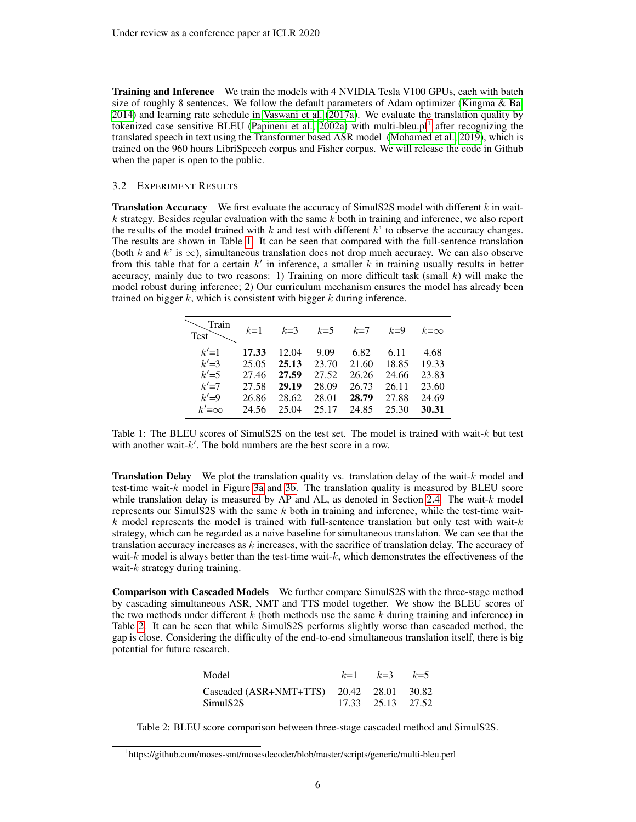Training and Inference We train the models with 4 NVIDIA Tesla V100 GPUs, each with batch size of roughly 8 sentences. We follow the default parameters of Adam optimizer (Kingma  $\&$  Ba, [2014\)](#page-8-9) and learning rate schedule in [Vaswani et al.](#page-10-4) [\(2017a\)](#page-10-4). We evaluate the translation quality by tokenized case sensitive BLEU [\(Papineni et al., 2002a\)](#page-9-9) with multi-bleu.pl<sup>[1](#page-5-0)</sup> after recognizing the translated speech in text using the Transformer based ASR model [\(Mohamed et al., 2019\)](#page-9-10), which is trained on the 960 hours LibriSpeech corpus and Fisher corpus. We will release the code in Github when the paper is open to the public.

#### 3.2 EXPERIMENT RESULTS

**Translation Accuracy** We first evaluate the accuracy of SimulS2S model with different  $k$  in wait $k$  strategy. Besides regular evaluation with the same k both in training and inference, we also report the results of the model trained with  $k$  and test with different  $k'$  to observe the accuracy changes. The results are shown in Table [1.](#page-5-1) It can be seen that compared with the full-sentence translation (both k and k' is  $\infty$ ), simultaneous translation does not drop much accuracy. We can also observe from this table that for a certain  $k'$  in inference, a smaller k in training usually results in better accuracy, mainly due to two reasons: 1) Training on more difficult task (small k) will make the model robust during inference; 2) Our curriculum mechanism ensures the model has already been trained on bigger  $k$ , which is consistent with bigger  $k$  during inference.

<span id="page-5-1"></span>

| Train<br><b>Test</b>                           | $k=1$                                     | $k=3$                                     | $k=5$                                    | $k=7$                                    | $k=9$                                    | $k=\infty$                               |
|------------------------------------------------|-------------------------------------------|-------------------------------------------|------------------------------------------|------------------------------------------|------------------------------------------|------------------------------------------|
| $k'=1$<br>$k'=3$<br>$k'=5$<br>$k'=7$<br>$k'=9$ | 17.33<br>25.05<br>27.46<br>27.58<br>26.86 | 12.04<br>25.13<br>27.59<br>29.19<br>28.62 | 9.09<br>23.70<br>27.52<br>28.09<br>28.01 | 6.82<br>21.60<br>26.26<br>26.73<br>28.79 | 6.11<br>18.85<br>24.66<br>26.11<br>27.88 | 4.68<br>19.33<br>23.83<br>23.60<br>24.69 |
| $k'=\infty$                                    | 24.56                                     | 25.04                                     | 25.17                                    | 24.85                                    | 25.30                                    | 30.31                                    |

Table 1: The BLEU scores of SimulS2S on the test set. The model is trained with wait- $k$  but test with another wait- $k'$ . The bold numbers are the best score in a row.

**Translation Delay** We plot the translation quality vs. translation delay of the wait- $k$  model and test-time wait- $k$  model in Figure [3a](#page-6-0) and [3b.](#page-6-0) The translation quality is measured by BLEU score while translation delay is measured by AP and AL, as denoted in Section [2.4.](#page-4-0) The wait-k model represents our SimulS2S with the same  $k$  both in training and inference, while the test-time wait $k$  model represents the model is trained with full-sentence translation but only test with wait- $k$ strategy, which can be regarded as a naive baseline for simultaneous translation. We can see that the translation accuracy increases as  $k$  increases, with the sacrifice of translation delay. The accuracy of wait- $k$  model is always better than the test-time wait- $k$ , which demonstrates the effectiveness of the wait- $k$  strategy during training.

Comparison with Cascaded Models We further compare SimulS2S with the three-stage method by cascading simultaneous ASR, NMT and TTS model together. We show the BLEU scores of the two methods under different  $k$  (both methods use the same  $k$  during training and inference) in Table [2.](#page-5-2) It can be seen that while SimulS2S performs slightly worse than cascaded method, the gap is close. Considering the difficulty of the end-to-end simultaneous translation itself, there is big potential for future research.

| Model                                                | $k=1$ | $k=3$             | $k=5$ |
|------------------------------------------------------|-------|-------------------|-------|
| Cascaded (ASR+NMT+TTS) 20.42 28.01 30.82<br>SimulS2S |       | 17.33 25.13 27.52 |       |

<span id="page-5-2"></span>Table 2: BLEU score comparison between three-stage cascaded method and SimulS2S.

<span id="page-5-0"></span><sup>1</sup> https://github.com/moses-smt/mosesdecoder/blob/master/scripts/generic/multi-bleu.perl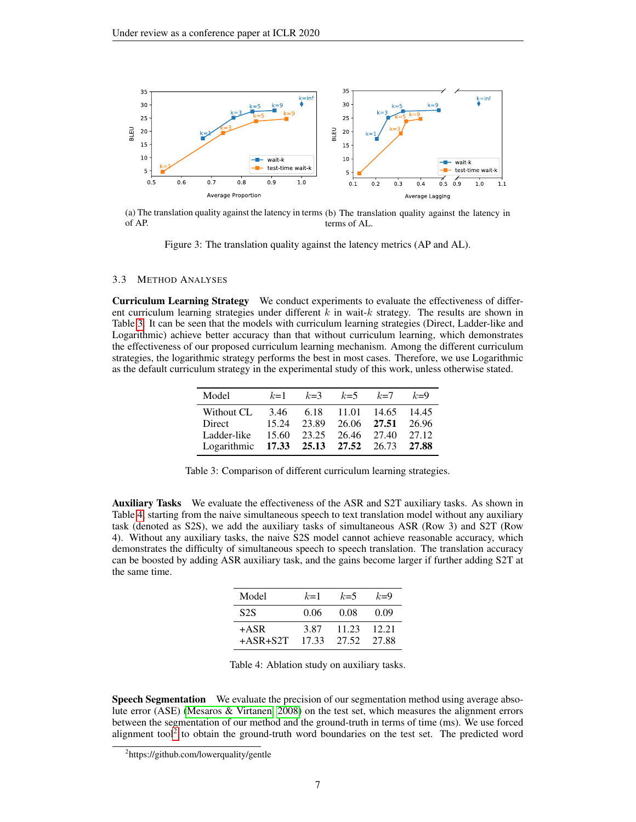<span id="page-6-0"></span>

(a) The translation quality against the latency in terms (b) The translation quality against the latency in of AP. terms of AL.

Figure 3: The translation quality against the latency metrics (AP and AL).

### 3.3 METHOD ANALYSES

<span id="page-6-1"></span>Curriculum Learning Strategy We conduct experiments to evaluate the effectiveness of different curriculum learning strategies under different  $k$  in wait- $k$  strategy. The results are shown in Table [3.](#page-6-1) It can be seen that the models with curriculum learning strategies (Direct, Ladder-like and Logarithmic) achieve better accuracy than that without curriculum learning, which demonstrates the effectiveness of our proposed curriculum learning mechanism. Among the different curriculum strategies, the logarithmic strategy performs the best in most cases. Therefore, we use Logarithmic as the default curriculum strategy in the experimental study of this work, unless otherwise stated.

| Model                                     | $k=1$ | $k=3$ | $k=5$             | $k=7$       | $k=9$ |
|-------------------------------------------|-------|-------|-------------------|-------------|-------|
| Without CL                                | 3.46  |       | 6.18 11.01        | 14.65       | 14.45 |
| Direct                                    | 15.24 | 23.89 |                   | 26.06 27.51 | 26.96 |
| Ladder-like                               | 15.60 |       | 23.25 26.46 27.40 |             | 27.12 |
| Logarithmic 17.33 25.13 27.52 26.73 27.88 |       |       |                   |             |       |

Table 3: Comparison of different curriculum learning strategies.

<span id="page-6-2"></span>Auxiliary Tasks We evaluate the effectiveness of the ASR and S2T auxiliary tasks. As shown in Table [4,](#page-6-2) starting from the naive simultaneous speech to text translation model without any auxiliary task (denoted as S2S), we add the auxiliary tasks of simultaneous ASR (Row 3) and S2T (Row 4). Without any auxiliary tasks, the naive S2S model cannot achieve reasonable accuracy, which demonstrates the difficulty of simultaneous speech to speech translation. The translation accuracy can be boosted by adding ASR auxiliary task, and the gains become larger if further adding S2T at the same time.

| Model            | $k=1$ | $k=5$ | $k=9$ |
|------------------|-------|-------|-------|
| S <sub>2</sub> S | 0.06  | 0.08  | 0.09  |
| $+ASR$           | 3.87  | 11.23 | 12.21 |
| $+ASR + S2T$     | 17.33 | 27.52 | 27.88 |

Table 4: Ablation study on auxiliary tasks.

Speech Segmentation We evaluate the precision of our segmentation method using average absolute error (ASE) [\(Mesaros & Virtanen, 2008\)](#page-9-11) on the test set, which measures the alignment errors between the segmentation of our method and the ground-truth in terms of time (ms). We use forced alignment tool<sup>[2](#page-6-3)</sup> to obtain the ground-truth word boundaries on the test set. The predicted word

<span id="page-6-3"></span><sup>2</sup> https://github.com/lowerquality/gentle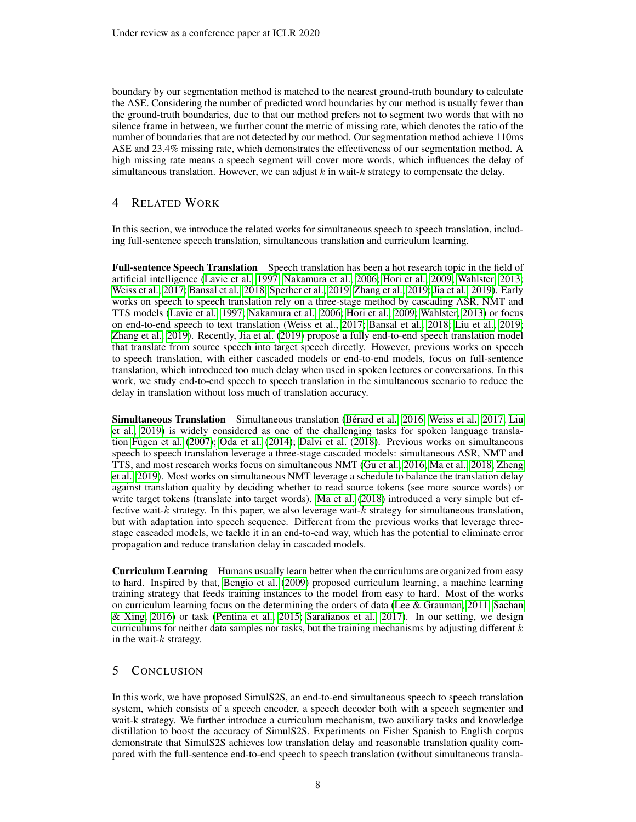boundary by our segmentation method is matched to the nearest ground-truth boundary to calculate the ASE. Considering the number of predicted word boundaries by our method is usually fewer than the ground-truth boundaries, due to that our method prefers not to segment two words that with no silence frame in between, we further count the metric of missing rate, which denotes the ratio of the number of boundaries that are not detected by our method. Our segmentation method achieve 110ms ASE and 23.4% missing rate, which demonstrates the effectiveness of our segmentation method. A high missing rate means a speech segment will cover more words, which influences the delay of simultaneous translation. However, we can adjust  $k$  in wait- $k$  strategy to compensate the delay.

# 4 RELATED WORK

In this section, we introduce the related works for simultaneous speech to speech translation, including full-sentence speech translation, simultaneous translation and curriculum learning.

Full-sentence Speech Translation Speech translation has been a hot research topic in the field of artificial intelligence [\(Lavie et al., 1997;](#page-8-10) [Nakamura et al., 2006;](#page-9-12) [Hori et al., 2009;](#page-8-11) [Wahlster, 2013;](#page-10-5) [Weiss et al., 2017;](#page-10-6) [Bansal et al., 2018;](#page-8-12) [Sperber et al., 2019;](#page-10-7) [Zhang et al., 2019;](#page-10-0) [Jia et al., 2019\)](#page-8-3). Early works on speech to speech translation rely on a three-stage method by cascading ASR, NMT and TTS models [\(Lavie et al., 1997;](#page-8-10) [Nakamura et al., 2006;](#page-9-12) [Hori et al., 2009;](#page-8-11) [Wahlster, 2013\)](#page-10-5) or focus on end-to-end speech to text translation [\(Weiss et al., 2017;](#page-10-6) [Bansal et al., 2018;](#page-8-12) [Liu et al., 2019;](#page-9-13) [Zhang et al., 2019\)](#page-10-0). Recently, [Jia et al.](#page-8-3) [\(2019\)](#page-8-3) propose a fully end-to-end speech translation model that translate from source speech into target speech directly. However, previous works on speech to speech translation, with either cascaded models or end-to-end models, focus on full-sentence translation, which introduced too much delay when used in spoken lectures or conversations. In this work, we study end-to-end speech to speech translation in the simultaneous scenario to reduce the delay in translation without loss much of translation accuracy.

Simultaneous Translation Simultaneous translation [\(Berard et al., 2016;](#page-8-13) [Weiss et al., 2017;](#page-10-6) [Liu](#page-9-13) ´ [et al., 2019\)](#page-9-13) is widely considered as one of the challenging tasks for spoken language transla-tion Fügen et al. [\(2007\)](#page-8-0); [Oda et al.](#page-9-0) [\(2014\)](#page-9-0); [Dalvi et al.](#page-8-14) [\(2018\)](#page-8-14). Previous works on simultaneous speech to speech translation leverage a three-stage cascaded models: simultaneous ASR, NMT and TTS, and most research works focus on simultaneous NMT [\(Gu et al., 2016;](#page-8-2) [Ma et al., 2018;](#page-9-4) [Zheng](#page-10-8) [et al., 2019\)](#page-10-8). Most works on simultaneous NMT leverage a schedule to balance the translation delay against translation quality by deciding whether to read source tokens (see more source words) or write target tokens (translate into target words). [Ma et al.](#page-9-4) [\(2018\)](#page-9-4) introduced a very simple but effective wait- $k$  strategy. In this paper, we also leverage wait- $k$  strategy for simultaneous translation, but with adaptation into speech sequence. Different from the previous works that leverage threestage cascaded models, we tackle it in an end-to-end way, which has the potential to eliminate error propagation and reduce translation delay in cascaded models.

Curriculum Learning Humans usually learn better when the curriculums are organized from easy to hard. Inspired by that, [Bengio et al.](#page-8-5) [\(2009\)](#page-8-5) proposed curriculum learning, a machine learning training strategy that feeds training instances to the model from easy to hard. Most of the works on curriculum learning focus on the determining the orders of data [\(Lee & Grauman, 2011;](#page-9-14) [Sachan](#page-9-15) [& Xing, 2016\)](#page-9-15) or task [\(Pentina et al., 2015;](#page-9-16) [Sarafianos et al., 2017\)](#page-9-17). In our setting, we design curriculums for neither data samples nor tasks, but the training mechanisms by adjusting different  $k$ in the wait- $k$  strategy.

### 5 CONCLUSION

In this work, we have proposed SimulS2S, an end-to-end simultaneous speech to speech translation system, which consists of a speech encoder, a speech decoder both with a speech segmenter and wait-k strategy. We further introduce a curriculum mechanism, two auxiliary tasks and knowledge distillation to boost the accuracy of SimulS2S. Experiments on Fisher Spanish to English corpus demonstrate that SimulS2S achieves low translation delay and reasonable translation quality compared with the full-sentence end-to-end speech to speech translation (without simultaneous transla-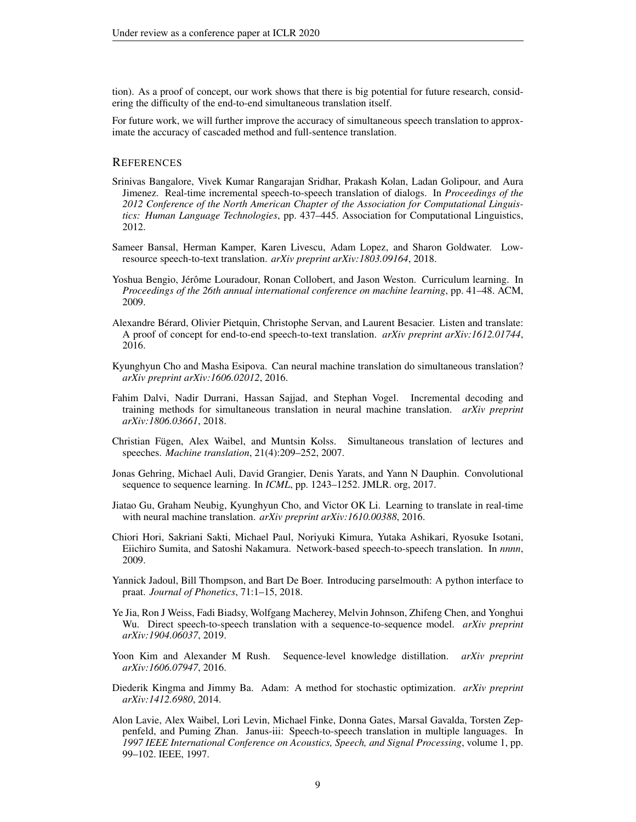tion). As a proof of concept, our work shows that there is big potential for future research, considering the difficulty of the end-to-end simultaneous translation itself.

For future work, we will further improve the accuracy of simultaneous speech translation to approximate the accuracy of cascaded method and full-sentence translation.

# **REFERENCES**

- <span id="page-8-1"></span>Srinivas Bangalore, Vivek Kumar Rangarajan Sridhar, Prakash Kolan, Ladan Golipour, and Aura Jimenez. Real-time incremental speech-to-speech translation of dialogs. In *Proceedings of the 2012 Conference of the North American Chapter of the Association for Computational Linguistics: Human Language Technologies*, pp. 437–445. Association for Computational Linguistics, 2012.
- <span id="page-8-12"></span>Sameer Bansal, Herman Kamper, Karen Livescu, Adam Lopez, and Sharon Goldwater. Lowresource speech-to-text translation. *arXiv preprint arXiv:1803.09164*, 2018.
- <span id="page-8-5"></span>Yoshua Bengio, Jérôme Louradour, Ronan Collobert, and Jason Weston. Curriculum learning. In *Proceedings of the 26th annual international conference on machine learning*, pp. 41–48. ACM, 2009.
- <span id="page-8-13"></span>Alexandre Berard, Olivier Pietquin, Christophe Servan, and Laurent Besacier. Listen and translate: ´ A proof of concept for end-to-end speech-to-text translation. *arXiv preprint arXiv:1612.01744*, 2016.
- <span id="page-8-7"></span>Kyunghyun Cho and Masha Esipova. Can neural machine translation do simultaneous translation? *arXiv preprint arXiv:1606.02012*, 2016.
- <span id="page-8-14"></span>Fahim Dalvi, Nadir Durrani, Hassan Sajjad, and Stephan Vogel. Incremental decoding and training methods for simultaneous translation in neural machine translation. *arXiv preprint arXiv:1806.03661*, 2018.
- <span id="page-8-0"></span>Christian Fügen, Alex Waibel, and Muntsin Kolss. Simultaneous translation of lectures and speeches. *Machine translation*, 21(4):209–252, 2007.
- <span id="page-8-8"></span>Jonas Gehring, Michael Auli, David Grangier, Denis Yarats, and Yann N Dauphin. Convolutional sequence to sequence learning. In *ICML*, pp. 1243–1252. JMLR. org, 2017.
- <span id="page-8-2"></span>Jiatao Gu, Graham Neubig, Kyunghyun Cho, and Victor OK Li. Learning to translate in real-time with neural machine translation. *arXiv preprint arXiv:1610.00388*, 2016.
- <span id="page-8-11"></span>Chiori Hori, Sakriani Sakti, Michael Paul, Noriyuki Kimura, Yutaka Ashikari, Ryosuke Isotani, Eiichiro Sumita, and Satoshi Nakamura. Network-based speech-to-speech translation. In *nnnn*, 2009.
- <span id="page-8-4"></span>Yannick Jadoul, Bill Thompson, and Bart De Boer. Introducing parselmouth: A python interface to praat. *Journal of Phonetics*, 71:1–15, 2018.
- <span id="page-8-3"></span>Ye Jia, Ron J Weiss, Fadi Biadsy, Wolfgang Macherey, Melvin Johnson, Zhifeng Chen, and Yonghui Wu. Direct speech-to-speech translation with a sequence-to-sequence model. *arXiv preprint arXiv:1904.06037*, 2019.
- <span id="page-8-6"></span>Yoon Kim and Alexander M Rush. Sequence-level knowledge distillation. *arXiv preprint arXiv:1606.07947*, 2016.
- <span id="page-8-9"></span>Diederik Kingma and Jimmy Ba. Adam: A method for stochastic optimization. *arXiv preprint arXiv:1412.6980*, 2014.
- <span id="page-8-10"></span>Alon Lavie, Alex Waibel, Lori Levin, Michael Finke, Donna Gates, Marsal Gavalda, Torsten Zeppenfeld, and Puming Zhan. Janus-iii: Speech-to-speech translation in multiple languages. In *1997 IEEE International Conference on Acoustics, Speech, and Signal Processing*, volume 1, pp. 99–102. IEEE, 1997.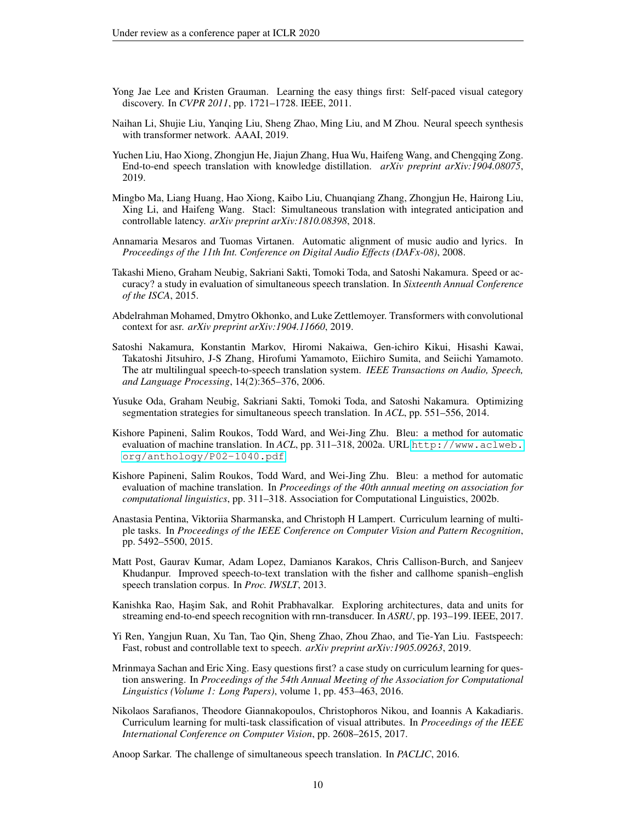- <span id="page-9-14"></span>Yong Jae Lee and Kristen Grauman. Learning the easy things first: Self-paced visual category discovery. In *CVPR 2011*, pp. 1721–1728. IEEE, 2011.
- <span id="page-9-5"></span>Naihan Li, Shujie Liu, Yanqing Liu, Sheng Zhao, Ming Liu, and M Zhou. Neural speech synthesis with transformer network. AAAI, 2019.
- <span id="page-9-13"></span>Yuchen Liu, Hao Xiong, Zhongjun He, Jiajun Zhang, Hua Wu, Haifeng Wang, and Chengqing Zong. End-to-end speech translation with knowledge distillation. *arXiv preprint arXiv:1904.08075*, 2019.
- <span id="page-9-4"></span>Mingbo Ma, Liang Huang, Hao Xiong, Kaibo Liu, Chuanqiang Zhang, Zhongjun He, Hairong Liu, Xing Li, and Haifeng Wang. Stacl: Simultaneous translation with integrated anticipation and controllable latency. *arXiv preprint arXiv:1810.08398*, 2018.
- <span id="page-9-11"></span>Annamaria Mesaros and Tuomas Virtanen. Automatic alignment of music audio and lyrics. In *Proceedings of the 11th Int. Conference on Digital Audio Effects (DAFx-08)*, 2008.
- <span id="page-9-2"></span>Takashi Mieno, Graham Neubig, Sakriani Sakti, Tomoki Toda, and Satoshi Nakamura. Speed or accuracy? a study in evaluation of simultaneous speech translation. In *Sixteenth Annual Conference of the ISCA*, 2015.
- <span id="page-9-10"></span>Abdelrahman Mohamed, Dmytro Okhonko, and Luke Zettlemoyer. Transformers with convolutional context for asr. *arXiv preprint arXiv:1904.11660*, 2019.
- <span id="page-9-12"></span>Satoshi Nakamura, Konstantin Markov, Hiromi Nakaiwa, Gen-ichiro Kikui, Hisashi Kawai, Takatoshi Jitsuhiro, J-S Zhang, Hirofumi Yamamoto, Eiichiro Sumita, and Seiichi Yamamoto. The atr multilingual speech-to-speech translation system. *IEEE Transactions on Audio, Speech, and Language Processing*, 14(2):365–376, 2006.
- <span id="page-9-0"></span>Yusuke Oda, Graham Neubig, Sakriani Sakti, Tomoki Toda, and Satoshi Nakamura. Optimizing segmentation strategies for simultaneous speech translation. In *ACL*, pp. 551–556, 2014.
- <span id="page-9-9"></span>Kishore Papineni, Salim Roukos, Todd Ward, and Wei-Jing Zhu. Bleu: a method for automatic evaluation of machine translation. In *ACL*, pp. 311–318, 2002a. URL [http://www.aclweb.](http://www.aclweb.org/anthology/P02-1040.pdf) [org/anthology/P02-1040.pdf](http://www.aclweb.org/anthology/P02-1040.pdf).
- <span id="page-9-7"></span>Kishore Papineni, Salim Roukos, Todd Ward, and Wei-Jing Zhu. Bleu: a method for automatic evaluation of machine translation. In *Proceedings of the 40th annual meeting on association for computational linguistics*, pp. 311–318. Association for Computational Linguistics, 2002b.
- <span id="page-9-16"></span>Anastasia Pentina, Viktoriia Sharmanska, and Christoph H Lampert. Curriculum learning of multiple tasks. In *Proceedings of the IEEE Conference on Computer Vision and Pattern Recognition*, pp. 5492–5500, 2015.
- <span id="page-9-8"></span>Matt Post, Gaurav Kumar, Adam Lopez, Damianos Karakos, Chris Callison-Burch, and Sanjeev Khudanpur. Improved speech-to-text translation with the fisher and callhome spanish–english speech translation corpus. In *Proc. IWSLT*, 2013.
- <span id="page-9-3"></span>Kanishka Rao, Hasim Sak, and Rohit Prabhavalkar. Exploring architectures, data and units for streaming end-to-end speech recognition with rnn-transducer. In *ASRU*, pp. 193–199. IEEE, 2017.
- <span id="page-9-6"></span>Yi Ren, Yangjun Ruan, Xu Tan, Tao Qin, Sheng Zhao, Zhou Zhao, and Tie-Yan Liu. Fastspeech: Fast, robust and controllable text to speech. *arXiv preprint arXiv:1905.09263*, 2019.
- <span id="page-9-15"></span>Mrinmaya Sachan and Eric Xing. Easy questions first? a case study on curriculum learning for question answering. In *Proceedings of the 54th Annual Meeting of the Association for Computational Linguistics (Volume 1: Long Papers)*, volume 1, pp. 453–463, 2016.
- <span id="page-9-17"></span>Nikolaos Sarafianos, Theodore Giannakopoulos, Christophoros Nikou, and Ioannis A Kakadiaris. Curriculum learning for multi-task classification of visual attributes. In *Proceedings of the IEEE International Conference on Computer Vision*, pp. 2608–2615, 2017.

<span id="page-9-1"></span>Anoop Sarkar. The challenge of simultaneous speech translation. In *PACLIC*, 2016.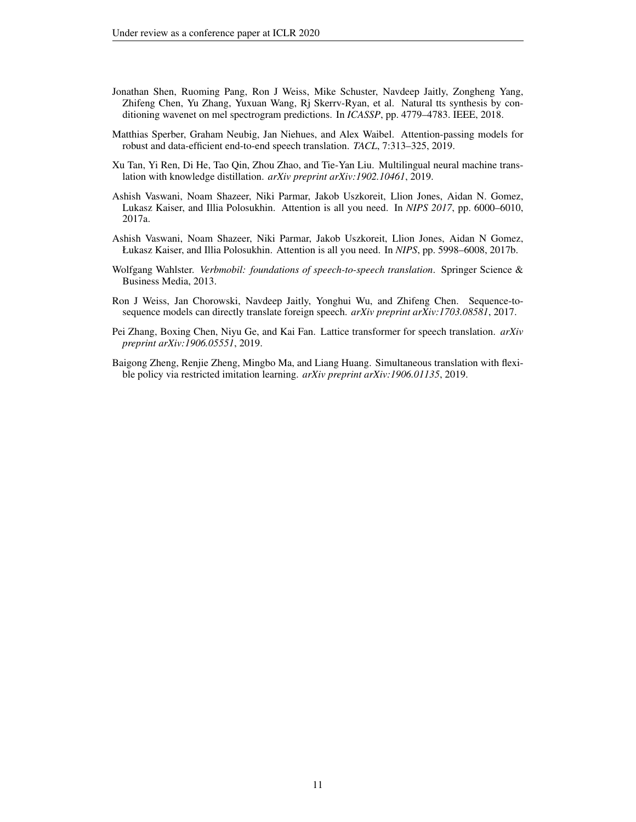- <span id="page-10-3"></span>Jonathan Shen, Ruoming Pang, Ron J Weiss, Mike Schuster, Navdeep Jaitly, Zongheng Yang, Zhifeng Chen, Yu Zhang, Yuxuan Wang, Rj Skerrv-Ryan, et al. Natural tts synthesis by conditioning wavenet on mel spectrogram predictions. In *ICASSP*, pp. 4779–4783. IEEE, 2018.
- <span id="page-10-7"></span>Matthias Sperber, Graham Neubig, Jan Niehues, and Alex Waibel. Attention-passing models for robust and data-efficient end-to-end speech translation. *TACL*, 7:313–325, 2019.
- <span id="page-10-2"></span>Xu Tan, Yi Ren, Di He, Tao Qin, Zhou Zhao, and Tie-Yan Liu. Multilingual neural machine translation with knowledge distillation. *arXiv preprint arXiv:1902.10461*, 2019.
- <span id="page-10-4"></span>Ashish Vaswani, Noam Shazeer, Niki Parmar, Jakob Uszkoreit, Llion Jones, Aidan N. Gomez, Lukasz Kaiser, and Illia Polosukhin. Attention is all you need. In *NIPS 2017*, pp. 6000–6010, 2017a.
- <span id="page-10-1"></span>Ashish Vaswani, Noam Shazeer, Niki Parmar, Jakob Uszkoreit, Llion Jones, Aidan N Gomez, Łukasz Kaiser, and Illia Polosukhin. Attention is all you need. In *NIPS*, pp. 5998–6008, 2017b.
- <span id="page-10-5"></span>Wolfgang Wahlster. *Verbmobil: foundations of speech-to-speech translation*. Springer Science & Business Media, 2013.
- <span id="page-10-6"></span>Ron J Weiss, Jan Chorowski, Navdeep Jaitly, Yonghui Wu, and Zhifeng Chen. Sequence-tosequence models can directly translate foreign speech. *arXiv preprint arXiv:1703.08581*, 2017.
- <span id="page-10-0"></span>Pei Zhang, Boxing Chen, Niyu Ge, and Kai Fan. Lattice transformer for speech translation. *arXiv preprint arXiv:1906.05551*, 2019.
- <span id="page-10-8"></span>Baigong Zheng, Renjie Zheng, Mingbo Ma, and Liang Huang. Simultaneous translation with flexible policy via restricted imitation learning. *arXiv preprint arXiv:1906.01135*, 2019.